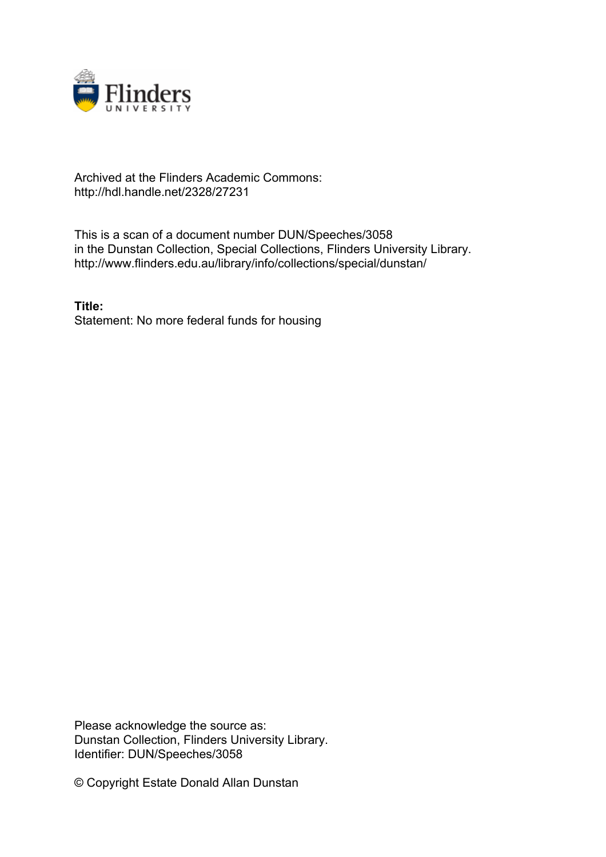

## Archived at the Flinders Academic Commons: http://hdl.handle.net/2328/27231

This is a scan of a document number DUN/Speeches/3058 in the Dunstan Collection, Special Collections, Flinders University Library. http://www.flinders.edu.au/library/info/collections/special/dunstan/

**Title:** Statement: No more federal funds for housing

Please acknowledge the source as: Dunstan Collection, Flinders University Library. Identifier: DUN/Speeches/3058

© Copyright Estate Donald Allan Dunstan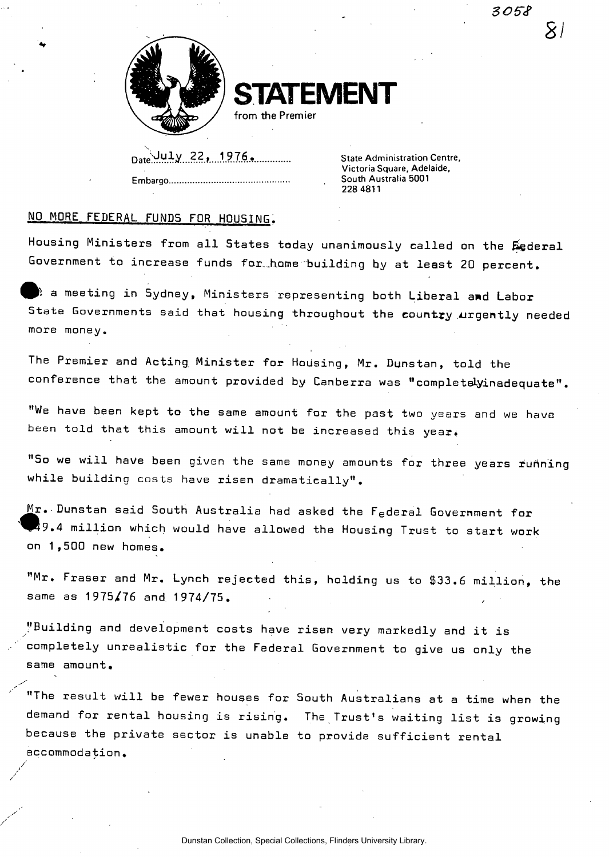*305~c?* 

*21* 



**STATEMENT** 

from the Premier

Date UULV 22, 1976. **...............** State Administration Centre, **Embargo South Australia 5001** 

**Victoria Square, Adelaide, 228 4811** 

## **NO MORE FEDERAL FUNDS FDR HOUSING.**

**Housing Ministers from all States today unanimously called on the federal Government to increase funds for..home building by at least 20 percent.** 

**a meeting in Sydney, Ministers representing both Liberal and Labor State Governments said that housing throughout the country urgently needed more money.** 

**The Premier and Acting, Minister for Housing, Mr. Dunstan, told the**  conference that the amount provided by Canberra was "completelyinadequate".

**"We have been kept to the same amount for the past two years and we have**  been told that this amount will not be increased this year.

**"So we will have been given the same money amounts for three years running while building costs have risen dramatically".** 

**M r. Dunstan said South Australia had asked the F <sup>e</sup> dera l Government for ^^9. 4 million which would have allowed the Housing Trust to start work on 1,500 new homes.** 

**"Mr. Fraser and Mr. Lynch rejected this, holding us to \$33.6 million, the same as 1975/76 and 1974/75.** 

**"Building and development costs have risen very markedly and it is completely unrealistic for the Federal Government to give us only the same amount.** 

**"The result will be fewer houses for South Australians at a time when the demand for rental housing is rising. The Trust's waiting list is growing because the private sector is unable to provide sufficient rental accommodation.**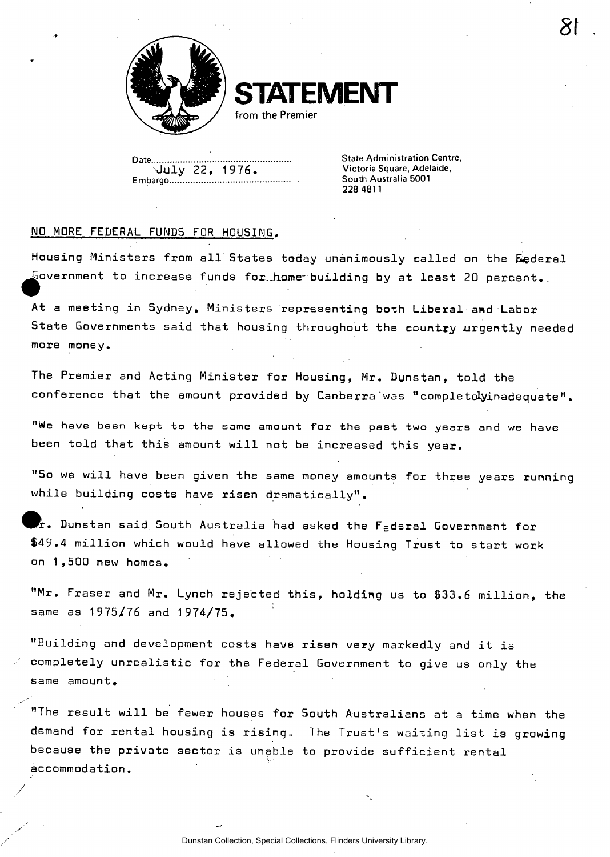

**STATEMENT** 

from the Premier

Date <u>Contain Centre, Catelland Centre, Catelland Centre, Catelland Centre, Catelland Centre, Catelland Centre, C</u><br>
State Control Centre, Catelland Centre, Catelland Centre, Catelland Centre, Catelland Centre, Catelland Ce **\July 22, 1 976. Victoria Square, Adelaide, Embargo South Australia 5001** 

**228 4811** 

 $\sigma$ 

## **NO MORE FEDERAL FUNDS FOR HOUSING.**

**Housing Ministers from all" States today unanimously called on the federal government to increase funds fox.\_h.ame-"building by at least 20 percent..** 

**At a meeting in Sydney, Ministers representing both Liberal amd Labor**  State Governments said that housing throughout the country urgently needed **more money.** 

**The Premier and Acting Minister for Housing, Mr. Dunstan, told the conference that the amount provided by Canberra was "completelyinadequate".** 

**"We have been kept to the same amount for the past two years and we have been told that this amount will not be increased this year.** 

**"So we will have been given the same money amounts for three years running while building costs have risen .dramatically".** 

**It. Dunstan said. South Australia had asked the F <sup>e</sup> dera l Government for \$49.4 million which would have allowed the Housing Trust to start work on 1,500 new homes.** 

**"Mr. Fraser and Mr. Lynch rejected this, holding us to \$33.6 million, the same as 1975/76 and 1974/75.** 

**"Building and development costs have risen very markedly and it is completely unrealistic for the Federal Government to give us only the same amount.** 

**"The result will be fewer houses for South Australians at a time when the demand for rental housing is rising. The Trust's waiting list is growing because the private sector is unable to provide sufficient rental accommodation.**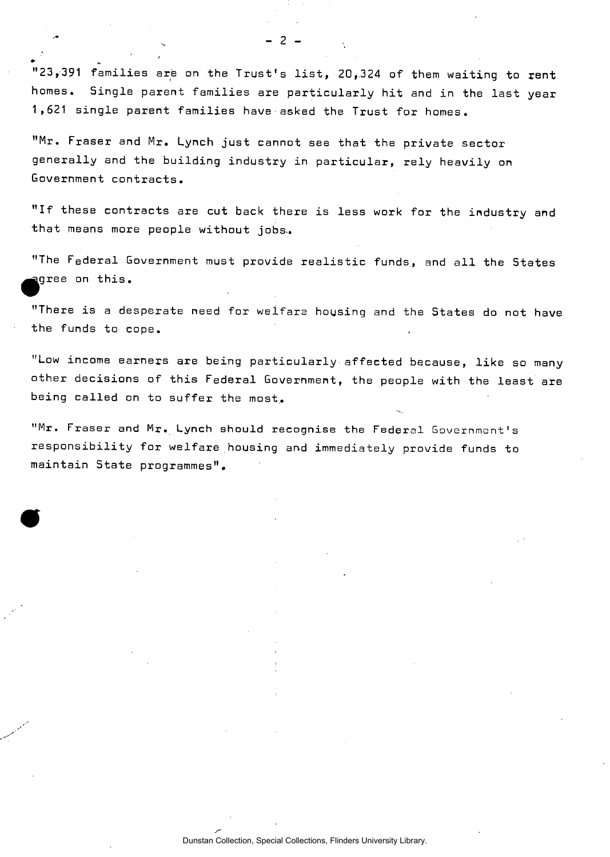**"23,391 families are on the Trust's list, 20,324 of them waiting to rent homes. Single parent families are particularly hit and in the last year 1 ,621 single parent families have asked the Trust for homes •** 

 $\overline{2}$ 

**"Mr. Fraser and Mr. Lynch just cannot see that the private sector generally and the building industry in particular, rely heavily on Government contracts.** 

**"If these contracts are cut back there is less work for the industry and that means more people without jobs-.** 

**"The Federal Government must provide realistic funds, and all the States ^^gre e on this.** 

**"There is a desperate need for welfare housing and the States do not have the funds to cope.** 

**"Low income earners are being particularly affected because, like so many other decisions of this Federal Government, the people with the least are being called on to suffer the most,.** 

**"Mr. Fraser and Mr. Lynch should recognise the Federal Government's responsibility for welfare housing and immediately provide funds to maintain State programmes".**